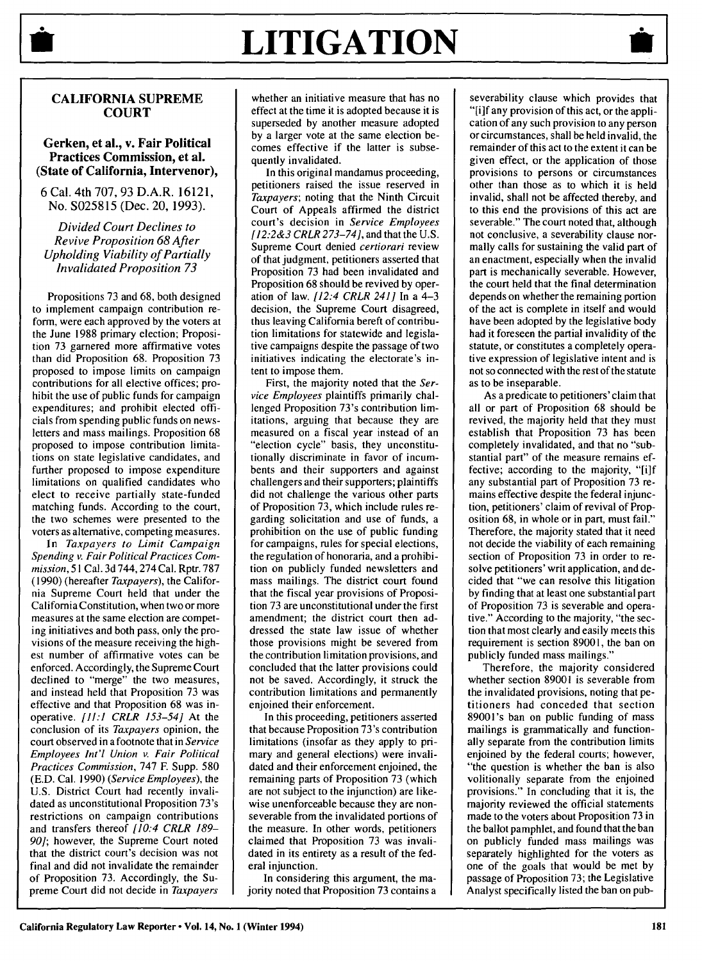

### **CALIFORNIA SUPREME COURT**

### **Gerken, et al., v. Fair Political Practices Commission, et al. (State of California, Intervenor),**

**6** Cal. 4th **707, 93** D.A.R. **16121,** No. **S025815** (Dec. **20, 1993).**

*Divided Court Declines to Revive Proposition 68 After Upholding Viability of Partially In validated Proposition 73*

Propositions **73** and **68,** both designed to implement campaign contribution reform, were each approved **by** the voters at the June **1988** primary election; Proposition **73** garnered more affirmative votes than did Proposition **68.** Proposition **73** proposed to impose limits on campaign contributions for all elective offices; prohibit the use of public funds for campaign expenditures; and prohibit elected officials from spending public funds on newsletters and mass mailings. Proposition **68** proposed to impose contribution limitations on state legislative candidates, and further proposed to impose expenditure limitations on qualified candidates who elect to receive partially state-funded matching funds. According to the court, the two schemes were presented to the voters as alternative, competing measures.

In *Taxpayers to Limit Campaign Spending v. Fair Political Practices Commission,* **51** Cal. **3d** 744,274 Cal. Rptr. **787 (1990)** (hereafter *Taxpayers),* the California Supreme Court held that under the California Constitution, when two or more measures at the same election are competing initiatives and both pass, only the provisions of the measure receiving the highest number of affirmative votes can be enforced. Accordingly, the Supreme Court declined to "merge" the two measures, and instead **held** that Proposition **73** was effective and that Proposition **68** was inoperative. *[11:1 CRLR 153-54]* At the conclusion of its *Taxpayers* opinion, the court observed in a footnote that in *Service Employees Int'l Union v. Fair Political Practices Commission,* **747 F.** Supp. **580 (E.D.** Cal. **1990)** *(Service Employees),* the **U.S.** District Court had recently invalidated as unconstitutional Proposition 73's restrictions on campaign contributions and transfers thereof *[10:4 CRLR 189- 90];* however, the Supreme Court noted that the district court's decision was not final and did not invalidate the remainder of Proposition **73.** Accordingly, the Supreme Court did not decide in *Taxpayers*

whether an initiative measure that has no effect at the time it is adopted because it is superseded by another measure adopted by a larger vote at the same election becomes effective if the latter is subsequently invalidated.

In this original mandamus proceeding, petitioners raised the issue reserved in *Taxpayers;* noting that the Ninth Circuit Court of Appeals affirmed the district court's decision in *Service Employees [12:2&3 CRLR 273-74],* and that the U.S. Supreme Court denied *certiorari* review of that judgment, petitioners asserted that Proposition 73 had been invalidated and Proposition 68 should be revived by operation of law. *[12:4 CRLR 241]* In a 4-3 decision, the Supreme Court disagreed, thus leaving California bereft of contribution limitations for statewide and legislative campaigns despite the passage of two initiatives indicating the electorate's intent to impose them.

First, the majority noted that the *Service Employees* plaintiffs primarily challenged Proposition 73's contribution limitations, arguing that because they are measured on a fiscal year instead of an "election cycle" basis, they unconstitutionally discriminate in favor of incumbents and their supporters and against challengers and their supporters; plaintiffs did not challenge the various other parts of Proposition 73, which include rules regarding solicitation and use of funds, a prohibition on the use of public funding for campaigns, rules for special elections, the regulation of honoraria, and a prohibition on publicly funded newsletters and mass mailings. The district court found that the fiscal year provisions of Proposition 73 are unconstitutional under the first amendment; the district court then addressed the state law issue of whether those provisions might be severed from the contribution limitation provisions, and concluded that the latter provisions could not be saved. Accordingly, it struck the contribution limitations and permanently enjoined their enforcement.

In this proceeding, petitioners asserted that because Proposition 73's contribution limitations (insofar as they apply to primary and general elections) were invalidated and their enforcement enjoined, the remaining parts of Proposition 73 (which are not subject to the injunction) are likewise unenforceable because they are nonseverable from the invalidated portions of the measure. In other words, petitioners claimed that Proposition 73 was invalidated in its entirety as a result of the federal injunction.

In considering this argument, the majority noted that Proposition 73 contains a

severability clause which provides that "[i]f any provision of this act, or the application of any such provision to any person or circumstances, shall be held invalid, the remainder of this act to the extent it can be given effect, or the application of those provisions to persons or circumstances other than those as to which it is held invalid, shall not be affected thereby, and to this end the provisions of this act are severable." The court noted that, although not conclusive, a severability clause normally calls for sustaining the valid part of an enactment, especially when the invalid part is mechanically severable. However, the court held that the final determination depends on whether the remaining portion of the act is complete in itself and would have been adopted by the legislative body had it foreseen the partial invalidity of the statute, or constitutes a completely operative expression of legislative intent and is not so connected with the rest of the statute as to be inseparable.

As a predicate to petitioners' claim that all or part of Proposition 68 should be revived, the majority held that they must establish that Proposition 73 has been completely invalidated, and that no "substantial part" of the measure remains effective; according to the majority, "[i]f any substantial part of Proposition 73 remains effective despite the federal injunction, petitioners' claim of revival of Proposition 68, in whole or in part, must fail." Therefore, the majority stated that it need not decide the viability of each remaining section of Proposition 73 in order to resolve petitioners' writ application, and decided that "we can resolve this litigation by finding that at least one substantial part of Proposition 73 is severable and operative." According to the majority, "the section that most clearly and easily meets this requirement is section 89001, the ban on publicly funded mass mailings."

Therefore, the majority considered whether section 89001 is severable from the invalidated provisions, noting that petitioners had conceded that section 89001's ban on public funding of mass mailings is grammatically and functionally separate from the contribution limits enjoined by the federal courts; however, "the question is whether the ban is also volitionally separate from the enjoined provisions." In concluding that it is, the majority reviewed the official statements made to the voters about Proposition 73 in the ballot pamphlet, and found that the ban on publicly funded mass mailings was separately highlighted for the voters as one of the goals that would be met by passage of Proposition 73; the Legislative Analyst specifically listed the ban on pub-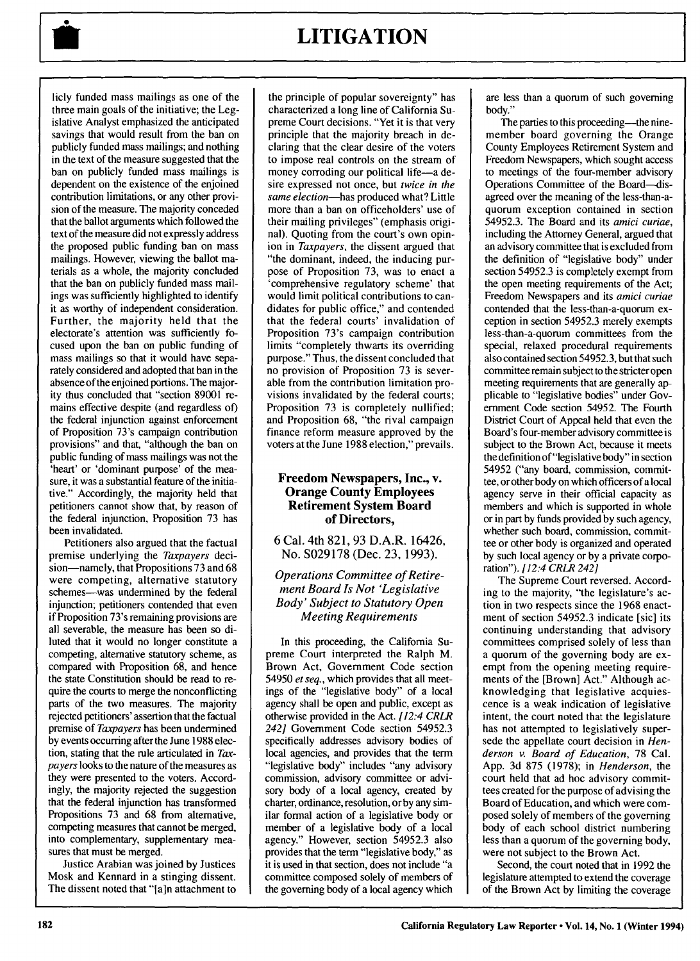

licly funded mass mailings as one of the three main goals of the initiative; the Legislative Analyst emphasized the anticipated savings that would result from the ban on publicly funded mass mailings; and nothing in the text of the measure suggested that the ban on publicly funded mass mailings is dependent on the existence of the enjoined contribution limitations, or any other provision of the measure. The majority conceded that the ballot arguments which followed the text of the measure did not expressly address the proposed public funding ban on mass mailings. However, viewing the ballot materials as a whole, the majority concluded that the ban on publicly funded mass mailings was sufficiently highlighted to identify it as worthy of independent consideration. Further, the majority held that the electorate's attention was sufficiently focused upon the ban on public funding of mass mailings so that it would have separately considered and adopted that ban in the absence of the enjoined portions. The majority thus concluded that "section 89001 remains effective despite (and regardless of) the federal injunction against enforcement of Proposition 73's campaign contribution provisions" and that, "although the ban on public funding of mass mailings was not the 'heart' or 'dominant purpose' of the measure, it was a substantial feature of the initiative." Accordingly, the majority held that petitioners cannot show that, by reason of the federal injunction, Proposition 73 has been invalidated.

Petitioners also argued that the factual premise underlying the *Taxpayers* decision-namely, that Propositions 73 and 68 were competing, alternative statutory schemes-was undermined by the federal injunction; petitioners contended that even if Proposition 73's remaining provisions are all severable, the measure has been so diluted that it would no longer constitute a competing, alternative statutory scheme, as compared with Proposition 68, and hence the state Constitution should be read to require the courts to merge the nonconflicting parts of the two measures. The majority rejected petitioners' assertion that the factual premise of *Taxpayers* has been undermined by events occurring after the June 1988 election, stating that the rule articulated in *Taxpayers* looks to the nature of the measures as they were presented to the voters. Accordingly, the majority rejected the suggestion that the federal injunction has transformed Propositions 73 and 68 from alternative, competing measures that cannot be merged, into complementary, supplementary measures that must be merged.

Justice Arabian was joined by Justices Mosk and Kennard in a stinging dissent. The dissent noted that "[a]n attachment to

the principle of popular sovereignty" has characterized a long line of California Supreme Court decisions. "Yet it is that very principle that the majority breach in declaring that the clear desire of the voters to impose real controls on the stream of money corroding our political life-a desire expressed not once, but *twice in the same election-has* produced what? Little more than a ban on officeholders' use of their mailing privileges" (emphasis original). Quoting from the court's own opinion in *Taxpayers,* the dissent argued that "the dominant, indeed, the inducing purpose of Proposition 73, was to enact a 'comprehensive regulatory scheme' that would limit political contributions to candidates for public office," and contended that the federal courts' invalidation of Proposition 73's campaign contribution limits "completely thwarts its overriding purpose." Thus, the dissent concluded that no provision of Proposition 73 is severable from the contribution limitation provisions invalidated by the federal courts; Proposition 73 is completely nullified; and Proposition 68, "the rival campaign finance reform measure approved by the voters at the June 1988 election," prevails.

### **Freedom Newspapers, Inc., v. Orange County Employees Retirement System Board of Directors,**

**6** Cal. 4th 821, 93 D.A.R. 16426, No. S029178 (Dec. 23, 1993).

*Operations Committee of Retirement Board Is Not 'Legislative Body' Subject to Statutory Open Meeting Requirements*

In this proceeding, the California Supreme Court interpreted the Ralph M. Brown Act, Government Code section 54950 *et seq.,* which provides that all meetings of the "legislative body" of a local agency shall be open and public, except as otherwise provided in the Act. *[12:4 CRLR 242]* Government Code section 54952.3 specifically addresses advisory bodies of local agencies, and provides that the term "legislative body" includes "any advisory commission, advisory committee or advisory body of a local agency, created by charter, ordinance, resolution, or by any similar formal action of a legislative body or member of a legislative body of a local agency." However, section 54952.3 also provides that the term "legislative body," as it is used in that section, does not include "a committee composed solely of members of the governing body of a local agency which

are less than a quorum of such governing body."

The parties to this proceeding—the ninemember board governing the Orange County Employees Retirement System and Freedom Newspapers, which sought access to meetings of the four-member advisory Operations Committee of the Board-disagreed over the meaning of the less-than-aquorum exception contained in section 54952.3. The Board and its *amici curiae,* including the Attorney General, argued that an advisory committee that is excluded from the definition of "legislative body" under section 54952.3 is completely exempt from the open meeting requirements of the Act; Freedom Newspapers and its *amici curiae* contended that the less-than-a-quorum exception in section 54952.3 merely exempts less-than-a-quorum committees from the special, relaxed procedural requirements also contained section 54952.3, but that such committee remain subject to the stricteropen meeting requirements that are generally applicable to "legislative bodies" under Government Code section 54952. The Fourth District Court of Appeal held that even the Board's four-member advisory committee is subject to the Brown Act, because it meets the definition of "legislative body" in section 54952 ("any board, commission, committee, or other body on which officers of a local agency serve in their official capacity as members and which is supported in whole or in part by funds provided by such agency, whether such board, commission, committee or other body is organized and operated by such local agency or by a private corporation"). *[12:4 CRLR 242]*

The Supreme Court reversed. According to the majority, "the legislature's action in two respects since the 1968 enactment of section 54952.3 indicate [sic] its continuing understanding that advisory committees comprised solely of less than a quorum of the governing body are exempt from the opening meeting requirements of the [Brown] Act." Although acknowledging that legislative acquiescence is a weak indication of legislative intent, the court noted that the legislature has not attempted to legislatively supersede the appellate court decision in *Henderson v. Board of Education,* 78 Cal. App. 3d 875 (1978); in *Henderson, the* court held that ad hoc advisory committees created for the purpose of advising the Board of Education, and which were composed solely of members of the governing body of each school district numbering less than a quorum of the governing body, were not subject to the Brown Act.

Second, the court noted that in 1992 the legislature attempted to extend the coverage of the Brown Act by limiting the coverage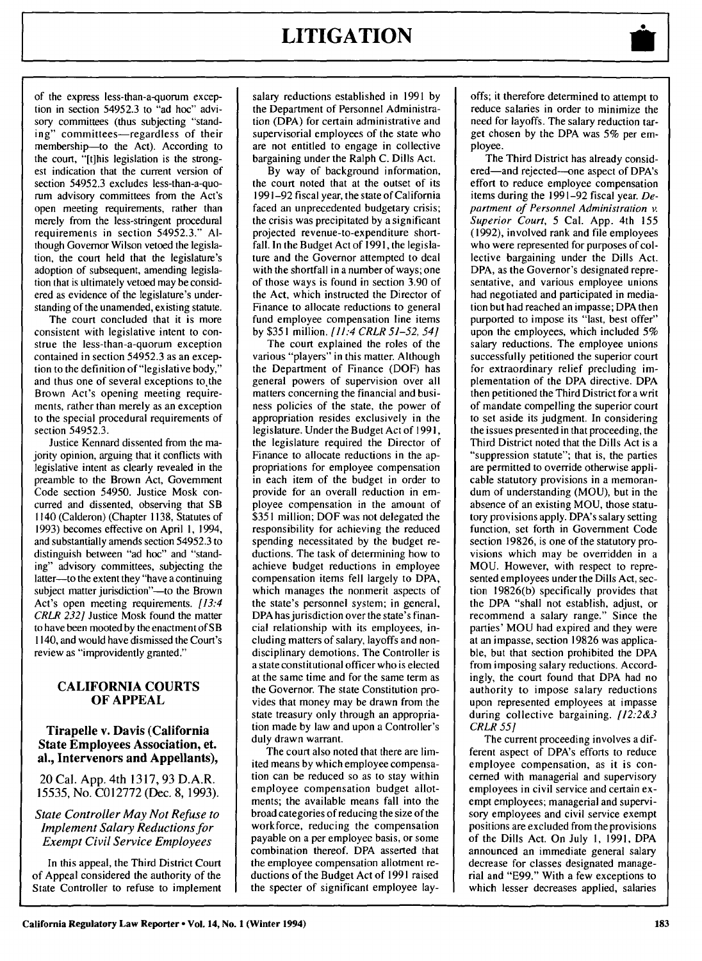of the express less-than-a-quorum exception in section 54952.3 to "ad hoc" advisory committees (thus subjecting "standing" committees-regardless of their membership-to the Act). According to the court, "[t]his legislation is the strongest indication that the current version of section 54952.3 excludes less-than-a-quorum advisory committees from the Act's open meeting requirements, rather than merely from the less-stringent procedural requirements in section 54952.3." Although Governor Wilson vetoed the legislation, the court held that the legislature's adoption of subsequent, amending legislation that is ultimately vetoed may be considered as evidence of the legislature's understanding of the unamended, existing statute.

The court concluded that it is more consistent with legislative intent to construe the less-than-a-quorum exception contained in section 54952.3 as an exception to the definition of "legislative body," and thus one of several exceptions to the Brown Act's opening meeting requirements, rather than merely as an exception to the special procedural requirements of section 54952.3.

Justice Kennard dissented from the majority opinion, arguing that it conflicts with legislative intent as clearly revealed in the preamble to the Brown Act, Government Code section 54950. Justice Mosk concurred and dissented, observing that SB 1140 (Calderon) (Chapter 1138, Statutes of 1993) becomes effective on April **1,** 1994, and substantially amends section 54952.3 to distinguish between "ad hoc" and "standing" advisory committees, subjecting the latter-to the extent they "have a continuing subject matter jurisdiction"-to the Brown Act's open meeting requirements. [13:4 CRLR 232] Justice Mosk found the matter to have been mooted by the enactment of SB 1140, and would have dismissed the Court's review as "improvidently granted."

### **CALIFORNIA COURTS** OF **APPEAL**

### **Tirapelle v. Davis (California State Employees Association, et. al., Intervenors and Appellants),**

20 Cal. **App.** 4th **1317, 93** D.A.R. 15535, No. **C012772** (Dec. **8, 1993).**

*State Controller May Not Refuse to Implement Salary Reductions for Exempt Civil Service Employees*

In this appeal, the Third District Court of Appeal considered the authority of the State Controller to refuse to implement salary reductions established in 1991 by the Department of Personnel Administration (DPA) for certain administrative and supervisorial employees of the state who are not entitled to engage in collective bargaining under the Ralph C. Dills Act.

By way of background information, the court noted that at the outset of its 1991-92 fiscal year, the state of California faced an unprecedented budgetary crisis; the crisis was precipitated by a significant projected revenue-to-expenditure shortfall. In the Budget Act of 1991, the legislature and the Governor attempted to deal with the shortfall in a number of ways; one of those ways is found in section 3.90 of the Act, which instructed the Director of Finance to allocate reductions to general fund employee compensation line items by \$351 million. [11:4 CRLR 51-52, 54]

The court explained the roles of the various "players" in this matter. Although the Department of Finance (DOF) has general powers of supervision over all matters concerning the financial and business policies of the state, the power of appropriation resides exclusively in the legislature. Under the Budget Act of 199 **1,** the legislature required the Director of Finance to allocate reductions in the appropriations for employee compensation in each item of the budget in order to provide for an overall reduction in employee compensation in the amount of \$351 million; DOF was not delegated the responsibility for achieving the reduced spending necessitated by the budget reductions. The task of determining how to achieve budget reductions in employee compensation items fell largely to DPA, which manages the nonmerit aspects of the state's personnel system; in general, DPA has jurisdiction over the state's financial relationship with its employees, including matters of salary, layoffs and nondisciplinary demotions. The Controller is a state constitutional officer who is elected at the same time and for the same term as the Governor. The state Constitution provides that money may be drawn from the state treasury only through an appropriation made by law and upon a Controller's duly drawn warrant.

The court also noted that there are limited means by which employee compensation can be reduced so as to stay within employee compensation budget allotments; the available means fall into the broad categories of reducing the size of the workforce, reducing the compensation payable on a per employee basis, or some combination thereof. DPA asserted that the employee compensation allotment reductions of the Budget Act of 1991 raised the specter of significant employee layoffs; it therefore determined to attempt to reduce salaries in order to minimize the need for layoffs. The salary reduction target chosen by the DPA was 5% per employee.

The Third District has already considered-and rejected-one aspect of DPA's effort to reduce employee compensation items during the 1991-92 fiscal year. *Department of Personnel Administration v. Superior Court, 5* Cal. App. 4th 155 (1992), involved rank and file employees who were represented for purposes of collective bargaining under the Dills Act. DPA, as the Governor's designated representative, and various employee unions had negotiated and participated in mediation but had reached an impasse; DPA then purported to impose its "last, best offer" upon the employees, which included 5% salary reductions. The employee unions successfully petitioned the superior court for extraordinary relief precluding implementation of the DPA directive. DPA then petitioned the Third District for a writ of mandate compelling the superior court to set aside its judgment. In considering the issues presented in that proceeding, the Third District noted that the Dills Act is a "suppression statute"; that is, the parties are permitted to override otherwise applicable statutory provisions in a memorandum of understanding (MOU), but in the absence of an existing MOU, those statutory provisions apply. DPA's salary setting function, set forth in Government Code section 19826, is one of the statutory provisions which may be overridden in a MOU. However, with respect to represented employees under the Dills Act, section 19826(b) specifically provides that the DPA "shall not establish, adjust, or recommend a salary range." Since the parties' MOU had expired and they were at an impasse, section 19826 was applicable, but that section prohibited the DPA from imposing salary reductions. Accordingly, the court found that DPA had no authority to impose salary reductions upon represented employees at impasse during collective bargaining. [12:2&3] *CRLR 55]*

The current proceeding involves a different aspect of DPA's efforts to reduce employee compensation, as it is concerned with managerial and supervisory employees in civil service and certain exempt employees; managerial and supervisory employees and civil service exempt positions are excluded from the provisions of the Dills Act. On July 1, 1991, DPA announced an immediate general salary decrease for classes designated managerial and "E99." With a few exceptions to which lesser decreases applied, salaries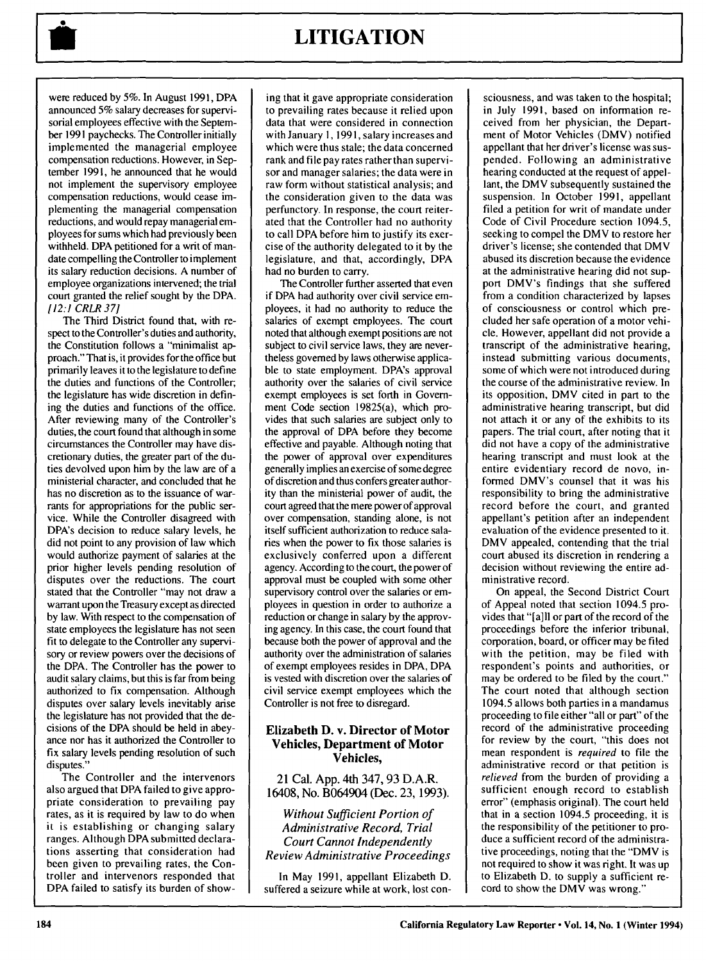

were reduced by 5%. In August 1991, DPA announced 5% salary decreases for supervisorial employees effective with the September 1991 paychecks. The Controller initially implemented the managerial employee compensation reductions. However, in September 1991, he announced that he would not implement the supervisory employee compensation reductions, would cease implementing the managerial compensation reductions, and would repay managerial employees for sums which had previously been withheld. DPA petitioned for a writ of mandate compelling the Controller to implement its salary reduction decisions. A number of employee organizations intervened; the trial court granted the relief sought by the DPA. *t12:1* CRLR *37]*

The Third District found that, with respect to the Controller's duties and authority, the Constitution follows a "minimalist approach." That is, it provides for the office but primarily leaves it to the legislature to define the duties and functions of the Controller, the legislature has wide discretion in defining the duties and functions of the office. After reviewing many of the Controller's duties, the court found that although in some circumstances the Controller may have discretionary duties, the greater part of the duties devolved upon him by the law are of a ministerial character, and concluded that he has no discretion as to the issuance of warrants for appropriations for the public service. While the Controller disagreed with DPA's decision to reduce salary levels, he did not point to any provision of law which would authorize payment of salaries at the prior higher levels pending resolution of disputes over the reductions. The court stated that the Controller "may not draw a warrant upon the Treasury except as directed by law. With respect to the compensation of state employees the legislature has not seen fit to delegate to the Controller any supervisory or review powers over the decisions of the DPA. The Controller has the power to audit salary claims, but this is far from being authorized to fix compensation. Although disputes over salary levels inevitably arise the legislature has not provided that the decisions of the DPA should be held in abeyance nor has it authorized the Controller to fix salary levels pending resolution of such disputes."

The Controller and the intervenors also argued that DPA failed to give appropriate consideration to prevailing pay rates, as it is required by law to do when it is establishing or changing salary ranges. Although DPA submitted declarations asserting that consideration had been given to prevailing rates, the Controller and intervenors responded that DPA failed to satisfy its burden of show-

ing that it gave appropriate consideration to prevailing rates because it relied upon data that were considered in connection with January **1,** 1991, salary increases and which were thus stale; the data concerned rank and file pay rates rather than supervisor and manager salaries; the data were in raw form without statistical analysis; and the consideration given to the data was perfunctory. In response, the court reiterated that the Controller had no authority to call DPA before him to justify its exercise of the authority delegated to it by the legislature, and that, accordingly, DPA had no burden to carry.

The Controller further asserted that even if DPA had authority over civil service employees, it had no authority to reduce the salaries of exempt employees. The court noted that although exempt positions are not subject to civil service laws, they are nevertheless governed by laws otherwise applicable to state employment. DPA's approval authority over the salaries of civil service exempt employees is set forth in Government Code section 19825(a), which provides that such salaries are subject only to the approval of DPA before they become effective and payable. Although noting that the power of approval over expenditures generally implies an exercise of some degree of discretion and thus confers greater authority than the ministerial power of audit, the court agreed that the mere power of approval over compensation, standing alone, is not itself sufficient authorization to reduce salaries when the power to fix those salaries is exclusively conferred upon a different agency. According to the court, the power of approval must be coupled with some other supervisory control over the salaries or employees in question in order to authorize a reduction or change in salary by the approving agency. In this case, the court found that because both the power of approval and the authority over the administration of salaries of exempt employees resides in DPA, DPA is vested with discretion over the salaries of civil service exempt employees which the Controller is not free to disregard.

### **Elizabeth D. v. Director of Motor Vehicles, Department of Motor Vehicles,**

21 Cal. App. 4th 347,93 D.A.R. 16408, No. B064904 (Dec. 23, 1993).

*Without Sufficient Portion of Administrative Record, Trial* Court *Cannot Independently Review Administrative Proceedings*

In May 1991, appellant Elizabeth D. suffered a seizure while at work, lost con-

sciousness, and was taken to the hospital; in July 1991, based on information received from her physician, the Department of Motor Vehicles (DMV) notified appellant that her driver's license was suspended. Following an administrative hearing conducted at the request of appellant, the DMV subsequently sustained the suspension. In October 1991, appellant filed a petition for writ of mandate under Code of Civil Procedure section 1094.5, seeking to compel the DMV to restore her driver's license; she contended that DMV abused its discretion because the evidence at the administrative hearing did not support DMV's findings that she suffered from a condition characterized by lapses of consciousness or control which precluded her safe operation of a motor vehicle. However, appellant did not provide a transcript of the administrative hearing, instead submitting various documents, some of which were not introduced during the course of the administrative review. In its opposition, DMV cited in part to the administrative hearing transcript, but did not attach it or any of the exhibits to its papers. The trial court, after noting that it did not have a copy of the administrative hearing transcript and must look at the entire evidentiary record de novo, informed DMV's counsel that it was his responsibility to bring the administrative record before the court, and granted appellant's petition after an independent evaluation of the evidence presented to it. DMV appealed, contending that the trial court abused its discretion in rendering a decision without reviewing the entire administrative record.

On appeal, the Second District Court of Appeal noted that section 1094.5 provides that "[a]ll or part of the record of the proceedings before the inferior tribunal, corporation, board, or officer may be filed with the petition, may be filed with respondent's points and authorities, or may be ordered to be filed by the court." The court noted that although section 1094.5 allows both parties in a mandamus proceeding to file either "all or part" of the record of the administrative proceeding for review by the court, "this does not mean respondent is required to file the administrative record or that petition is relieved from the burden of providing a sufficient enough record to establish error" (emphasis original). The court held that in a section 1094.5 proceeding, it is the responsibility of the petitioner to produce a sufficient record of the administrative proceedings, noting that the "DMV is not required to show it was right. It was up to Elizabeth D. to supply a sufficient record to show the DMV was wrong."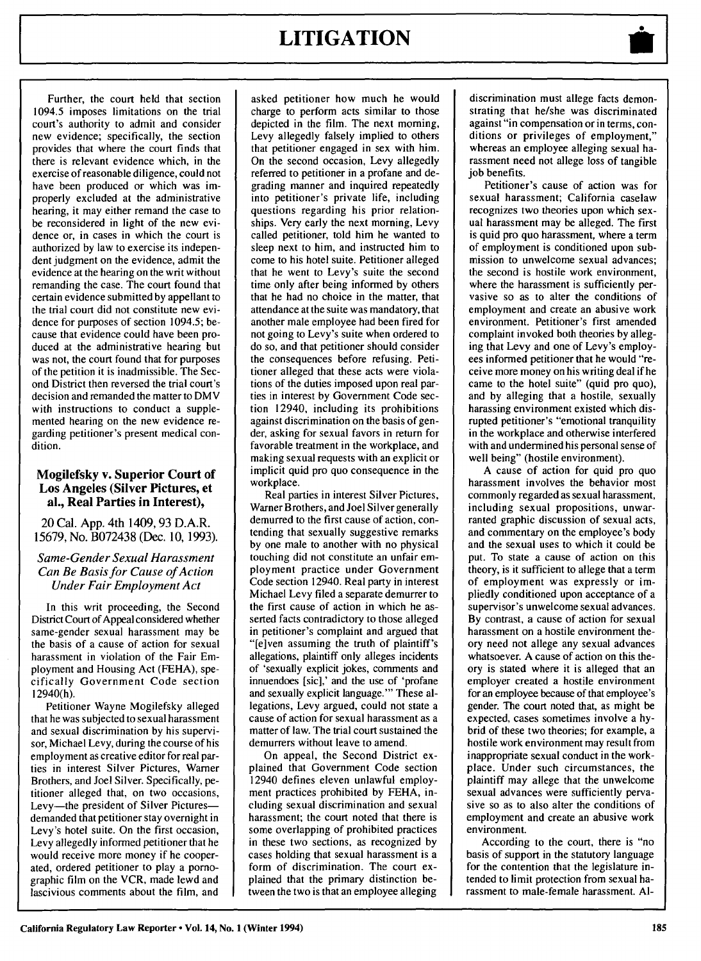Further, the court held that section 1094.5 imposes limitations on the trial court's authority to admit and consider new evidence; specifically, the section provides that where the court finds that there is relevant evidence which, in the exercise of reasonable diligence, could not have been produced or which was improperly excluded at the administrative hearing, it may either remand the case to be reconsidered in light of the new evidence or, in cases in which the court is authorized by law to exercise its independent judgment on the evidence, admit the evidence at the hearing on the writ without remanding the case. The court found that certain evidence submitted by appellant to the trial court did not constitute new evidence for purposes of section 1094.5; because that evidence could have been produced at the administrative hearing but was not, the court found that for purposes of the petition it is inadmissible. The Second District then reversed the trial court's decision and remanded the matter to DMV with instructions to conduct a supplemented hearing on the new evidence regarding petitioner's present medical condition.

### **Mogilefsky v. Superior Court of Los Angeles (Silver Pictures, et al., Real Parties in Interest),**

20 Cal. **App.** 4th 1409,93 D.A.R. 15679, No. B072438 (Dec. 10, 1993).

### *Same-Gender Sexual Harassment Can Be Basis for Cause of Action Under Fair Employment Act*

In this writ proceeding, the Second District Court of Appeal considered whether same-gender sexual harassment may be the basis of a cause of action for sexual harassment in violation of the Fair Employment and Housing Act (FEHA), specifically Government Code section 12940(h).

Petitioner Wayne Mogilefsky alleged that he was subjected to sexual harassment and sexual discrimination by his supervisor, Michael Levy, during the course of his employment as creative editor for real parties in interest Silver Pictures, Warner Brothers, and Joel Silver. Specifically, petitioner alleged that, on two occasions, Levy-the president of Silver Picturesdemanded that petitioner stay overnight in Levy's hotel suite. On the first occasion, Levy allegedly informed petitioner that he would receive more money if he cooperated, ordered petitioner to play a pornographic film on the VCR, made lewd and lascivious comments about the film, and

asked petitioner how much he would charge to perform acts similar to those depicted in the film. The next morning, Levy allegedly falsely implied to others that petitioner engaged in sex with him. On the second occasion, Levy allegedly referred to petitioner in a profane and degrading manner and inquired repeatedly into petitioner's private life, including questions regarding his prior relationships. Very early the next morning, Levy called petitioner, told him he wanted to sleep next to him, and instructed him to come to his hotel suite. Petitioner alleged that he went to Levy's suite the second time only after being informed by others that he had no choice in the matter, that attendance at the suite was mandatory, that another male employee had been fired for not going to Levy's suite when ordered to do so, and that petitioner should consider the consequences before refusing. Petitioner alleged that these acts were violations of the duties imposed upon real parties in interest by Government Code section 12940, including its prohibitions against discrimination on the basis of gender, asking for sexual favors in return for favorable treatment in the workplace, and making sexual requests with an explicit or implicit quid pro quo consequence in the workplace.

Real parties in interest Silver Pictures, Warner Brothers, and Joel Silver generally demurred to the first cause of action, contending that sexually suggestive remarks by one male to another with no physical touching did not constitute an unfair employment practice under Government Code section 12940. Real party in interest Michael Levy filed a separate demurrer to the first cause of action in which he asserted facts contradictory to those alleged in petitioner's complaint and argued that "[elven assuming the truth of plaintiff's allegations, plaintiff only alleges incidents of 'sexually explicit jokes, comments and innuendoes [sic],' and the use of 'profane and sexually explicit language."' These allegations, Levy argued, could not state a cause of action for sexual harassment as a matter of law. The trial court sustained the demurrers without leave to amend.

On appeal, the Second District explained that Government Code section 12940 defines eleven unlawful employment practices prohibited by FEHA, including sexual discrimination and sexual harassment; the court noted that there is some overlapping of prohibited practices in these two sections, as recognized by cases holding that sexual harassment is a form of discrimination. The court explained that the primary distinction between the two is that an employee alleging

discrimination must allege facts demonstrating that he/she was discriminated against "in compensation or in terms, conditions or privileges of employment," whereas an employee alleging sexual harassment need not allege loss of tangible job benefits.

Petitioner's cause of action was for sexual harassment; California caselaw recognizes two theories upon which sexual harassment may be alleged. The first is quid pro quo harassment, where a term of employment is conditioned upon submission to unwelcome sexual advances; the second is hostile work environment, where the harassment is sufficiently pervasive so as to alter the conditions of employment and create an abusive work environment. Petitioner's first amended complaint invoked both theories by alleging that Levy and one of Levy's employees informed petitioner that he would "receive more money on his writing deal if he came to the hotel suite" (quid pro quo), and by alleging that a hostile, sexually harassing environment existed which disrupted petitioner's "emotional tranquility in the workplace and otherwise interfered with and undermined his personal sense of well being" (hostile environment).

A cause of action for quid pro quo harassment involves the behavior most commonly regarded as sexual harassment, including sexual propositions, unwarranted graphic discussion of sexual acts, and commentary on the employee's body and the sexual uses to which it could be put. To state a cause of action on this theory, is it sufficient to allege that a term of employment was expressly or impliedly conditioned upon acceptance of a supervisor's unwelcome sexual advances. By contrast, a cause of action for sexual harassment on a hostile environment theory need not allege any sexual advances whatsoever. A cause of action on this theory is stated where it is alleged that an employer created a hostile environment for an employee because of that employee's gender. The court noted that, as might be expected, cases sometimes involve a hybrid of these two theories; for example, a hostile work environment may result from inappropriate sexual conduct in the workplace. Under such circumstances, the plaintiff may allege that the unwelcome sexual advances were sufficiently pervasive so as to also alter the conditions of employment and create an abusive work environment.

According to the court, there is "no basis of support in the statutory language for the contention that the legislature intended to limit protection from sexual harassment to male-female harassment. **Al-**